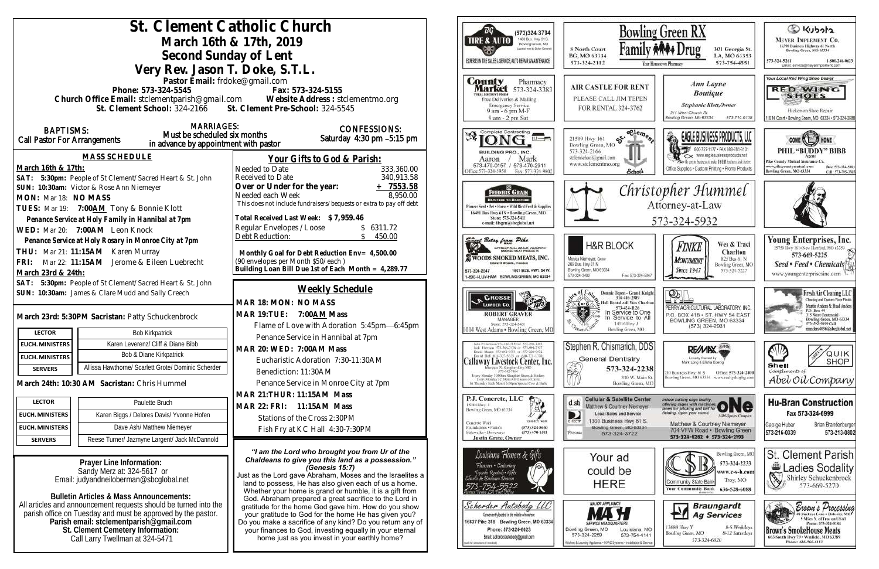| St. Clement Catholic Church<br>Bowli<br>ТG<br>(573)324 3704<br>1400 Busi. Hwy 61 S.<br><b>TIRE &amp; AUTO</b><br>March 16th & 17th, 2019<br>Bowling Green, MO<br>Famil<br>collatt next to Dollar Generals<br>8 North Court<br>Second Sunday of Lent<br>BG, MO 63334<br>EXPERTS IN THE SALES & SERVICE. AUTO REPAIR & MAINTENANCE<br>573-324-2112<br>Very Rev. Jason T. Doke, S.T.L.<br>Pastor Email: frdoke@gmail.com<br><b>County</b><br>Pharmacy<br><b>Market</b> 573-324-3383<br>Phone: 573-324-5545<br>Fax: 573-324-5155<br><b>FOTAL DISCOUNT FOODS</b><br>Church Office Email: stclementparish@gmail.com Website Address : stclementmo.org<br>Free Deliveries & Mailing<br><b>Emergency Service</b><br>St. Clement School: 324-2166 St. Clement Pre-School: 324-5545<br>FOR RENTAL 324-3762<br>9 am - 6 pm M-F<br>9 am - 2 pm Sat<br><b>MARRIAGES:</b><br><b>CONFESSIONS:</b><br><b>BAPTISMS:</b><br>Complete Contracting<br>Must be scheduled six months<br>Saturday 4:30 pm -5:15 pm<br>$\mathfrak{G}^{\mathfrak{e},\mathfrak{e}}$<br>21509 Hwy 161<br>Call Pastor For Arrangements<br>in advance by appointment with pastor<br>Bowling Green, MO<br>573-324-2166<br><b>BUILDING PRO., INC.</b><br><b>MASS SCHEDULE</b><br>stelemschool@gmail.com<br>Your Gifts to God & Parish:<br>Mark<br>Aaron<br>www.stelementmo.org<br>573-470-0157 / 573-470-2911<br>March 16th & 17th:<br>Needed to Date<br>333,360.00<br>School.<br>Office: 573-324-5958 Fax: 573-324-9802<br>340,913.58<br>SAT: 5:30pm: People of St Clement/Sacred Heart & St. John<br>Received to Date<br>Over or Under for the year:<br>$+ 7553.58$<br>Chri<br>SUN: 10:30am: Victor & Rose Ann Niemeyer<br>FEEDERS GRAIN<br>8,950.00<br>Needed each Week<br>MON: Mar 18: NO MASS<br><b>BACKYARD TO BABSYARD</b><br>This does not include fundraisers/bequests or extra to pay off debt<br>inneer Seed . Pet . Horse . Wild Bird Feed & Supplies<br>TUES: Mar 19: 7:00AM Tony & Bonnie Klott<br>16491 Bus Hwy 61N . Bowling Green, MO<br>Total Received Last Week: \$7,959.46<br>Store: 573-324-5411<br>Penance Service at Holy Family in Hannibal at 7pm<br>e-mail: fdsgrn@sheglobal.net<br>Regular Envelopes / Loose<br>\$6311.72<br>WED: Mar 20: 7:00AM Leon Knock<br>Debt Reduction:<br>450.00<br>Penance Service at Holy Rosary in Monroe City at 7pm<br>west Betsy from Pike<br><b>H&amp;R BLOCK</b><br>INTERNATIONAL GRAND CHAMPION<br>THU: Mar 21: 11:15AM Karen Murray<br>Monthly Goal for Debt Reduction Env= 4,500.00<br>WOODS SMOKED MEATS, INC.<br>Monica Niemeyer, Owner<br>(90 envelopes per Month \$50/each)<br>FRI: Mar 22: 11:15AM Jerome & Eileen Luebrecht<br>Edward Woods, President<br>206 Bus. Hwy 61 N<br>Building Loan Bill Due 1st of Each Month = 4,289.77<br>Bowling Green, MO 63334<br>1501 BUS, HWY, 54 W.<br>573-324-2247<br>March 23rd & 24th:<br>573-324-3402<br>Fax: 573-324-5<br>1-800-I-LUV-HAM BOWLING GREEN, MO 63334<br>SAT: 5:30pm: People of St Clement/Sacred Heart & St. John<br>Weekly Schedule<br>SUN: 10:30am: James & Clare Mudd and Sally Creech<br><b>CROSSE</b><br>314-486-2989<br>Hall Rental call Wes Cha<br>MAR 18: MON: NO MASS<br>K or C<br><b>LUMBER Co.</b><br>$\frac{$73-424-1126}{51}$<br>In Service to Or<br>MAR 19: TUE: 7:00 AM Mass<br><b>ROBERT GRAVER</b><br>March 23rd: 5:30PM Sacristan: Patty Schuckenbrock<br>MANAGER<br>14516 Hwy J<br>Store: 573-324-5431<br>Flame of Love with Adoration 5:45pm-6:45pm<br>1014 West Adams . Bowling Green, MC<br>Bowling Green, MO<br><b>LECTOR</b><br><b>Bob Kirkpatrick</b><br>Penance Service in Hannibal at 7pm<br>Karen Leverenz/ Cliff & Diane Bibb<br><b>EUCH. MINISTERS</b><br>Stephen R. Chismarich, DD<br>John P. Harrison 373-386-5130 or 573-220-1482<br>Jack Harrison 573-386-2138 or 573-999-7197<br>MAR 20: WED: 7:00AM Mass<br>David Means 373-642-9751 or 373-220-0472<br>Bob & Diane Kirkpatrick<br>David Bell 816-327-5633 or 660-721-1370<br><b>EUCH. MINISTERS</b><br><b>General Dentistry</b><br>Eucharistic Adoration 7:30-11:30AM<br>Callaway Livestock Center, Inc.<br><b>SER</b><br>Allissa Hawthorne/ Scarlett Grote/ Dominic Scherder<br>rroate 70, Kingdom City, MO<br>573-324-22.<br><b>SERVERS</b><br>Benediction: 11:30AM<br>573-642-7486<br>Every Monday 10:00am Shinghter Steers & Heilers<br>Every Monday 12:30pm All Classes of Cattle<br>Penance Service in Monroe City at 7pm<br>Bowling Green,<br>March 24th: 10:30 AM Sacristan: Chris Hummel<br>1st Thursday Each Month 6:00pm Spicial Cow & Hulls<br>MAR 21: THUR: 11:15AM Mass<br>P.J. Concrete, LLC<br><b>LECTOR</b><br>d sh<br>Paulette Bruch<br>15084 Hwy. J<br>MAR 22: FRI: 11:15AM Mass<br>Matthew & Courtney Niemeye<br>$\mathbb{A}$<br>Bowling Green, MO 63334<br>Local Sales and Service<br>D<br>Karen Biggs / Delores Davis/ Yvonne Hofen<br><b>EUCH. MINISTERS</b><br>Stations of the Cross 2:30PM<br>CONCRETE WORK<br>DIRECTY<br>Concrete Work<br>Dave Ash/ Matthew Niemeyer<br>Bowling Green, MO 63334<br><b>EUCH. MINISTERS</b><br>Foundations . Patio's<br>(573) 324-5660<br>Fish Fry at KC Hall 4:30-7:30PM<br>Sidewalks + Driveways<br>$(573)$ 470-1511<br>PUGAL<br>573-324-3722<br><b>Justin Grote, Owner</b><br>Reese Turner/ Jazmyne Largent/ Jack McDannold<br><b>SERVERS</b><br>"I am the Lord who brought you from Ur of the<br>Louisiana Flowers & Gifts<br>Your ad<br>Chaldeans to give you this land as a possession."<br>Prayer Line Information:<br>Flowers Catering<br>(Genesis 15:7)<br>could be<br>Sandy Merz at: 324-5617 or<br>Tuccolo Rentals Gifts<br>Just as the Lord gave Abraham, Moses and the Israelites a<br>harlie & Barlowa Deseton<br>Email: judyandneiloberman@sbcglobal.net<br>HERE<br>land to possess, He has also given each of us a home.<br>Whether your home is grand or humble, it is a gift from<br><b>Bulletin Articles &amp; Mass Announcements:</b><br>God. Abraham prepared a great sacrifice to the Lord in<br><b>MAJOR APPLIANCE</b><br>All articles and announcement requests should be turned into the<br>Scherder Autobody LLC<br>gratitude for the home God gave him. How do you show<br>parish office on Tuesday and must be approved by the pastor.<br>Conveniently located in the middle of nowhere<br>your gratitude to God for the home He has given you?<br>Parish email: stclementparish@gmail.com<br>16637 Pike 318 Bowling Green, MO 63334<br>Do you make a sacrifice of any kind? Do you return any of<br>SERWCE HEADQUAR<br>Phone: 573-324-6023<br>Bowling Green, MO<br>St. Clement Cemetery Information:<br>your finances to God, investing equally in your eternal<br>573-324-2259<br>573-754-41<br>Email: scherderautobody@gmail.com<br>home just as you invest in your earthly home?<br>Call Larry Twellman at 324-5471<br>(bidden 1 protons) to fax |  |  |  |                                                               |
|--------------------------------------------------------------------------------------------------------------------------------------------------------------------------------------------------------------------------------------------------------------------------------------------------------------------------------------------------------------------------------------------------------------------------------------------------------------------------------------------------------------------------------------------------------------------------------------------------------------------------------------------------------------------------------------------------------------------------------------------------------------------------------------------------------------------------------------------------------------------------------------------------------------------------------------------------------------------------------------------------------------------------------------------------------------------------------------------------------------------------------------------------------------------------------------------------------------------------------------------------------------------------------------------------------------------------------------------------------------------------------------------------------------------------------------------------------------------------------------------------------------------------------------------------------------------------------------------------------------------------------------------------------------------------------------------------------------------------------------------------------------------------------------------------------------------------------------------------------------------------------------------------------------------------------------------------------------------------------------------------------------------------------------------------------------------------------------------------------------------------------------------------------------------------------------------------------------------------------------------------------------------------------------------------------------------------------------------------------------------------------------------------------------------------------------------------------------------------------------------------------------------------------------------------------------------------------------------------------------------------------------------------------------------------------------------------------------------------------------------------------------------------------------------------------------------------------------------------------------------------------------------------------------------------------------------------------------------------------------------------------------------------------------------------------------------------------------------------------------------------------------------------------------------------------------------------------------------------------------------------------------------------------------------------------------------------------------------------------------------------------------------------------------------------------------------------------------------------------------------------------------------------------------------------------------------------------------------------------------------------------------------------------------------------------------------------------------------------------------------------------------------------------------------------------------------------------------------------------------------------------------------------------------------------------------------------------------------------------------------------------------------------------------------------------------------------------------------------------------------------------------------------------------------------------------------------------------------------------------------------------------------------------------------------------------------------------------------------------------------------------------------------------------------------------------------------------------------------------------------------------------------------------------------------------------------------------------------------------------------------------------------------------------------------------------------------------------------------------------------------------------------------------------------------------------------------------------------------------------------------------------------------------------------------------------------------------------------------------------------------------------------------------------------------------------------------------------------------------------------------------------------------------------------------------------------------------------------------------------------------------------------------------------------------------------------------------------------------------------------------------------------------------------------------------------------------------------------------------------------------------------------------------------------------------------------------------------------------------------------------------------------------------------------------------------------------------------------------------------------------------------------------------------------------------------------------------------------------------------------------------------------------------------------------------------------------------------------------------------------------------------------------------------------------------------------------------------------------------------------------------------------------------------------------------------------------------------------------------------------------------------------------------------------------------------------------------------------------------------------------------------------------------------------------------------------------------------------------------------------------------------------------------------------------------------------------------------------------------------------------------------------------------------------------------------------------------------------------------------------------------------------------------------------------------|--|--|--|---------------------------------------------------------------|
|                                                                                                                                                                                                                                                                                                                                                                                                                                                                                                                                                                                                                                                                                                                                                                                                                                                                                                                                                                                                                                                                                                                                                                                                                                                                                                                                                                                                                                                                                                                                                                                                                                                                                                                                                                                                                                                                                                                                                                                                                                                                                                                                                                                                                                                                                                                                                                                                                                                                                                                                                                                                                                                                                                                                                                                                                                                                                                                                                                                                                                                                                                                                                                                                                                                                                                                                                                                                                                                                                                                                                                                                                                                                                                                                                                                                                                                                                                                                                                                                                                                                                                                                                                                                                                                                                                                                                                                                                                                                                                                                                                                                                                                                                                                                                                                                                                                                                                                                                                                                                                                                                                                                                                                                                                                                                                                                                                                                                                                                                                                                                                                                                                                                                                                                                                                                                                                                                                                                                                                                                                                                                                                                                                                                                                                                                                                                                                                                                                                                                                                                                                                                                                                                                                                                                                                                        |  |  |  |                                                               |
|                                                                                                                                                                                                                                                                                                                                                                                                                                                                                                                                                                                                                                                                                                                                                                                                                                                                                                                                                                                                                                                                                                                                                                                                                                                                                                                                                                                                                                                                                                                                                                                                                                                                                                                                                                                                                                                                                                                                                                                                                                                                                                                                                                                                                                                                                                                                                                                                                                                                                                                                                                                                                                                                                                                                                                                                                                                                                                                                                                                                                                                                                                                                                                                                                                                                                                                                                                                                                                                                                                                                                                                                                                                                                                                                                                                                                                                                                                                                                                                                                                                                                                                                                                                                                                                                                                                                                                                                                                                                                                                                                                                                                                                                                                                                                                                                                                                                                                                                                                                                                                                                                                                                                                                                                                                                                                                                                                                                                                                                                                                                                                                                                                                                                                                                                                                                                                                                                                                                                                                                                                                                                                                                                                                                                                                                                                                                                                                                                                                                                                                                                                                                                                                                                                                                                                                                        |  |  |  |                                                               |
|                                                                                                                                                                                                                                                                                                                                                                                                                                                                                                                                                                                                                                                                                                                                                                                                                                                                                                                                                                                                                                                                                                                                                                                                                                                                                                                                                                                                                                                                                                                                                                                                                                                                                                                                                                                                                                                                                                                                                                                                                                                                                                                                                                                                                                                                                                                                                                                                                                                                                                                                                                                                                                                                                                                                                                                                                                                                                                                                                                                                                                                                                                                                                                                                                                                                                                                                                                                                                                                                                                                                                                                                                                                                                                                                                                                                                                                                                                                                                                                                                                                                                                                                                                                                                                                                                                                                                                                                                                                                                                                                                                                                                                                                                                                                                                                                                                                                                                                                                                                                                                                                                                                                                                                                                                                                                                                                                                                                                                                                                                                                                                                                                                                                                                                                                                                                                                                                                                                                                                                                                                                                                                                                                                                                                                                                                                                                                                                                                                                                                                                                                                                                                                                                                                                                                                                                        |  |  |  |                                                               |
|                                                                                                                                                                                                                                                                                                                                                                                                                                                                                                                                                                                                                                                                                                                                                                                                                                                                                                                                                                                                                                                                                                                                                                                                                                                                                                                                                                                                                                                                                                                                                                                                                                                                                                                                                                                                                                                                                                                                                                                                                                                                                                                                                                                                                                                                                                                                                                                                                                                                                                                                                                                                                                                                                                                                                                                                                                                                                                                                                                                                                                                                                                                                                                                                                                                                                                                                                                                                                                                                                                                                                                                                                                                                                                                                                                                                                                                                                                                                                                                                                                                                                                                                                                                                                                                                                                                                                                                                                                                                                                                                                                                                                                                                                                                                                                                                                                                                                                                                                                                                                                                                                                                                                                                                                                                                                                                                                                                                                                                                                                                                                                                                                                                                                                                                                                                                                                                                                                                                                                                                                                                                                                                                                                                                                                                                                                                                                                                                                                                                                                                                                                                                                                                                                                                                                                                                        |  |  |  |                                                               |
|                                                                                                                                                                                                                                                                                                                                                                                                                                                                                                                                                                                                                                                                                                                                                                                                                                                                                                                                                                                                                                                                                                                                                                                                                                                                                                                                                                                                                                                                                                                                                                                                                                                                                                                                                                                                                                                                                                                                                                                                                                                                                                                                                                                                                                                                                                                                                                                                                                                                                                                                                                                                                                                                                                                                                                                                                                                                                                                                                                                                                                                                                                                                                                                                                                                                                                                                                                                                                                                                                                                                                                                                                                                                                                                                                                                                                                                                                                                                                                                                                                                                                                                                                                                                                                                                                                                                                                                                                                                                                                                                                                                                                                                                                                                                                                                                                                                                                                                                                                                                                                                                                                                                                                                                                                                                                                                                                                                                                                                                                                                                                                                                                                                                                                                                                                                                                                                                                                                                                                                                                                                                                                                                                                                                                                                                                                                                                                                                                                                                                                                                                                                                                                                                                                                                                                                                        |  |  |  |                                                               |
|                                                                                                                                                                                                                                                                                                                                                                                                                                                                                                                                                                                                                                                                                                                                                                                                                                                                                                                                                                                                                                                                                                                                                                                                                                                                                                                                                                                                                                                                                                                                                                                                                                                                                                                                                                                                                                                                                                                                                                                                                                                                                                                                                                                                                                                                                                                                                                                                                                                                                                                                                                                                                                                                                                                                                                                                                                                                                                                                                                                                                                                                                                                                                                                                                                                                                                                                                                                                                                                                                                                                                                                                                                                                                                                                                                                                                                                                                                                                                                                                                                                                                                                                                                                                                                                                                                                                                                                                                                                                                                                                                                                                                                                                                                                                                                                                                                                                                                                                                                                                                                                                                                                                                                                                                                                                                                                                                                                                                                                                                                                                                                                                                                                                                                                                                                                                                                                                                                                                                                                                                                                                                                                                                                                                                                                                                                                                                                                                                                                                                                                                                                                                                                                                                                                                                                                                        |  |  |  | <b>AIR CASTLE FOR RENT</b>                                    |
|                                                                                                                                                                                                                                                                                                                                                                                                                                                                                                                                                                                                                                                                                                                                                                                                                                                                                                                                                                                                                                                                                                                                                                                                                                                                                                                                                                                                                                                                                                                                                                                                                                                                                                                                                                                                                                                                                                                                                                                                                                                                                                                                                                                                                                                                                                                                                                                                                                                                                                                                                                                                                                                                                                                                                                                                                                                                                                                                                                                                                                                                                                                                                                                                                                                                                                                                                                                                                                                                                                                                                                                                                                                                                                                                                                                                                                                                                                                                                                                                                                                                                                                                                                                                                                                                                                                                                                                                                                                                                                                                                                                                                                                                                                                                                                                                                                                                                                                                                                                                                                                                                                                                                                                                                                                                                                                                                                                                                                                                                                                                                                                                                                                                                                                                                                                                                                                                                                                                                                                                                                                                                                                                                                                                                                                                                                                                                                                                                                                                                                                                                                                                                                                                                                                                                                                                        |  |  |  | PLEASE CALL JIM TEPEN                                         |
|                                                                                                                                                                                                                                                                                                                                                                                                                                                                                                                                                                                                                                                                                                                                                                                                                                                                                                                                                                                                                                                                                                                                                                                                                                                                                                                                                                                                                                                                                                                                                                                                                                                                                                                                                                                                                                                                                                                                                                                                                                                                                                                                                                                                                                                                                                                                                                                                                                                                                                                                                                                                                                                                                                                                                                                                                                                                                                                                                                                                                                                                                                                                                                                                                                                                                                                                                                                                                                                                                                                                                                                                                                                                                                                                                                                                                                                                                                                                                                                                                                                                                                                                                                                                                                                                                                                                                                                                                                                                                                                                                                                                                                                                                                                                                                                                                                                                                                                                                                                                                                                                                                                                                                                                                                                                                                                                                                                                                                                                                                                                                                                                                                                                                                                                                                                                                                                                                                                                                                                                                                                                                                                                                                                                                                                                                                                                                                                                                                                                                                                                                                                                                                                                                                                                                                                                        |  |  |  |                                                               |
|                                                                                                                                                                                                                                                                                                                                                                                                                                                                                                                                                                                                                                                                                                                                                                                                                                                                                                                                                                                                                                                                                                                                                                                                                                                                                                                                                                                                                                                                                                                                                                                                                                                                                                                                                                                                                                                                                                                                                                                                                                                                                                                                                                                                                                                                                                                                                                                                                                                                                                                                                                                                                                                                                                                                                                                                                                                                                                                                                                                                                                                                                                                                                                                                                                                                                                                                                                                                                                                                                                                                                                                                                                                                                                                                                                                                                                                                                                                                                                                                                                                                                                                                                                                                                                                                                                                                                                                                                                                                                                                                                                                                                                                                                                                                                                                                                                                                                                                                                                                                                                                                                                                                                                                                                                                                                                                                                                                                                                                                                                                                                                                                                                                                                                                                                                                                                                                                                                                                                                                                                                                                                                                                                                                                                                                                                                                                                                                                                                                                                                                                                                                                                                                                                                                                                                                                        |  |  |  |                                                               |
|                                                                                                                                                                                                                                                                                                                                                                                                                                                                                                                                                                                                                                                                                                                                                                                                                                                                                                                                                                                                                                                                                                                                                                                                                                                                                                                                                                                                                                                                                                                                                                                                                                                                                                                                                                                                                                                                                                                                                                                                                                                                                                                                                                                                                                                                                                                                                                                                                                                                                                                                                                                                                                                                                                                                                                                                                                                                                                                                                                                                                                                                                                                                                                                                                                                                                                                                                                                                                                                                                                                                                                                                                                                                                                                                                                                                                                                                                                                                                                                                                                                                                                                                                                                                                                                                                                                                                                                                                                                                                                                                                                                                                                                                                                                                                                                                                                                                                                                                                                                                                                                                                                                                                                                                                                                                                                                                                                                                                                                                                                                                                                                                                                                                                                                                                                                                                                                                                                                                                                                                                                                                                                                                                                                                                                                                                                                                                                                                                                                                                                                                                                                                                                                                                                                                                                                                        |  |  |  | C <sub>1</sub> e <sub>n</sub>                                 |
|                                                                                                                                                                                                                                                                                                                                                                                                                                                                                                                                                                                                                                                                                                                                                                                                                                                                                                                                                                                                                                                                                                                                                                                                                                                                                                                                                                                                                                                                                                                                                                                                                                                                                                                                                                                                                                                                                                                                                                                                                                                                                                                                                                                                                                                                                                                                                                                                                                                                                                                                                                                                                                                                                                                                                                                                                                                                                                                                                                                                                                                                                                                                                                                                                                                                                                                                                                                                                                                                                                                                                                                                                                                                                                                                                                                                                                                                                                                                                                                                                                                                                                                                                                                                                                                                                                                                                                                                                                                                                                                                                                                                                                                                                                                                                                                                                                                                                                                                                                                                                                                                                                                                                                                                                                                                                                                                                                                                                                                                                                                                                                                                                                                                                                                                                                                                                                                                                                                                                                                                                                                                                                                                                                                                                                                                                                                                                                                                                                                                                                                                                                                                                                                                                                                                                                                                        |  |  |  |                                                               |
|                                                                                                                                                                                                                                                                                                                                                                                                                                                                                                                                                                                                                                                                                                                                                                                                                                                                                                                                                                                                                                                                                                                                                                                                                                                                                                                                                                                                                                                                                                                                                                                                                                                                                                                                                                                                                                                                                                                                                                                                                                                                                                                                                                                                                                                                                                                                                                                                                                                                                                                                                                                                                                                                                                                                                                                                                                                                                                                                                                                                                                                                                                                                                                                                                                                                                                                                                                                                                                                                                                                                                                                                                                                                                                                                                                                                                                                                                                                                                                                                                                                                                                                                                                                                                                                                                                                                                                                                                                                                                                                                                                                                                                                                                                                                                                                                                                                                                                                                                                                                                                                                                                                                                                                                                                                                                                                                                                                                                                                                                                                                                                                                                                                                                                                                                                                                                                                                                                                                                                                                                                                                                                                                                                                                                                                                                                                                                                                                                                                                                                                                                                                                                                                                                                                                                                                                        |  |  |  |                                                               |
|                                                                                                                                                                                                                                                                                                                                                                                                                                                                                                                                                                                                                                                                                                                                                                                                                                                                                                                                                                                                                                                                                                                                                                                                                                                                                                                                                                                                                                                                                                                                                                                                                                                                                                                                                                                                                                                                                                                                                                                                                                                                                                                                                                                                                                                                                                                                                                                                                                                                                                                                                                                                                                                                                                                                                                                                                                                                                                                                                                                                                                                                                                                                                                                                                                                                                                                                                                                                                                                                                                                                                                                                                                                                                                                                                                                                                                                                                                                                                                                                                                                                                                                                                                                                                                                                                                                                                                                                                                                                                                                                                                                                                                                                                                                                                                                                                                                                                                                                                                                                                                                                                                                                                                                                                                                                                                                                                                                                                                                                                                                                                                                                                                                                                                                                                                                                                                                                                                                                                                                                                                                                                                                                                                                                                                                                                                                                                                                                                                                                                                                                                                                                                                                                                                                                                                                                        |  |  |  |                                                               |
|                                                                                                                                                                                                                                                                                                                                                                                                                                                                                                                                                                                                                                                                                                                                                                                                                                                                                                                                                                                                                                                                                                                                                                                                                                                                                                                                                                                                                                                                                                                                                                                                                                                                                                                                                                                                                                                                                                                                                                                                                                                                                                                                                                                                                                                                                                                                                                                                                                                                                                                                                                                                                                                                                                                                                                                                                                                                                                                                                                                                                                                                                                                                                                                                                                                                                                                                                                                                                                                                                                                                                                                                                                                                                                                                                                                                                                                                                                                                                                                                                                                                                                                                                                                                                                                                                                                                                                                                                                                                                                                                                                                                                                                                                                                                                                                                                                                                                                                                                                                                                                                                                                                                                                                                                                                                                                                                                                                                                                                                                                                                                                                                                                                                                                                                                                                                                                                                                                                                                                                                                                                                                                                                                                                                                                                                                                                                                                                                                                                                                                                                                                                                                                                                                                                                                                                                        |  |  |  |                                                               |
|                                                                                                                                                                                                                                                                                                                                                                                                                                                                                                                                                                                                                                                                                                                                                                                                                                                                                                                                                                                                                                                                                                                                                                                                                                                                                                                                                                                                                                                                                                                                                                                                                                                                                                                                                                                                                                                                                                                                                                                                                                                                                                                                                                                                                                                                                                                                                                                                                                                                                                                                                                                                                                                                                                                                                                                                                                                                                                                                                                                                                                                                                                                                                                                                                                                                                                                                                                                                                                                                                                                                                                                                                                                                                                                                                                                                                                                                                                                                                                                                                                                                                                                                                                                                                                                                                                                                                                                                                                                                                                                                                                                                                                                                                                                                                                                                                                                                                                                                                                                                                                                                                                                                                                                                                                                                                                                                                                                                                                                                                                                                                                                                                                                                                                                                                                                                                                                                                                                                                                                                                                                                                                                                                                                                                                                                                                                                                                                                                                                                                                                                                                                                                                                                                                                                                                                                        |  |  |  |                                                               |
|                                                                                                                                                                                                                                                                                                                                                                                                                                                                                                                                                                                                                                                                                                                                                                                                                                                                                                                                                                                                                                                                                                                                                                                                                                                                                                                                                                                                                                                                                                                                                                                                                                                                                                                                                                                                                                                                                                                                                                                                                                                                                                                                                                                                                                                                                                                                                                                                                                                                                                                                                                                                                                                                                                                                                                                                                                                                                                                                                                                                                                                                                                                                                                                                                                                                                                                                                                                                                                                                                                                                                                                                                                                                                                                                                                                                                                                                                                                                                                                                                                                                                                                                                                                                                                                                                                                                                                                                                                                                                                                                                                                                                                                                                                                                                                                                                                                                                                                                                                                                                                                                                                                                                                                                                                                                                                                                                                                                                                                                                                                                                                                                                                                                                                                                                                                                                                                                                                                                                                                                                                                                                                                                                                                                                                                                                                                                                                                                                                                                                                                                                                                                                                                                                                                                                                                                        |  |  |  |                                                               |
|                                                                                                                                                                                                                                                                                                                                                                                                                                                                                                                                                                                                                                                                                                                                                                                                                                                                                                                                                                                                                                                                                                                                                                                                                                                                                                                                                                                                                                                                                                                                                                                                                                                                                                                                                                                                                                                                                                                                                                                                                                                                                                                                                                                                                                                                                                                                                                                                                                                                                                                                                                                                                                                                                                                                                                                                                                                                                                                                                                                                                                                                                                                                                                                                                                                                                                                                                                                                                                                                                                                                                                                                                                                                                                                                                                                                                                                                                                                                                                                                                                                                                                                                                                                                                                                                                                                                                                                                                                                                                                                                                                                                                                                                                                                                                                                                                                                                                                                                                                                                                                                                                                                                                                                                                                                                                                                                                                                                                                                                                                                                                                                                                                                                                                                                                                                                                                                                                                                                                                                                                                                                                                                                                                                                                                                                                                                                                                                                                                                                                                                                                                                                                                                                                                                                                                                                        |  |  |  |                                                               |
|                                                                                                                                                                                                                                                                                                                                                                                                                                                                                                                                                                                                                                                                                                                                                                                                                                                                                                                                                                                                                                                                                                                                                                                                                                                                                                                                                                                                                                                                                                                                                                                                                                                                                                                                                                                                                                                                                                                                                                                                                                                                                                                                                                                                                                                                                                                                                                                                                                                                                                                                                                                                                                                                                                                                                                                                                                                                                                                                                                                                                                                                                                                                                                                                                                                                                                                                                                                                                                                                                                                                                                                                                                                                                                                                                                                                                                                                                                                                                                                                                                                                                                                                                                                                                                                                                                                                                                                                                                                                                                                                                                                                                                                                                                                                                                                                                                                                                                                                                                                                                                                                                                                                                                                                                                                                                                                                                                                                                                                                                                                                                                                                                                                                                                                                                                                                                                                                                                                                                                                                                                                                                                                                                                                                                                                                                                                                                                                                                                                                                                                                                                                                                                                                                                                                                                                                        |  |  |  |                                                               |
|                                                                                                                                                                                                                                                                                                                                                                                                                                                                                                                                                                                                                                                                                                                                                                                                                                                                                                                                                                                                                                                                                                                                                                                                                                                                                                                                                                                                                                                                                                                                                                                                                                                                                                                                                                                                                                                                                                                                                                                                                                                                                                                                                                                                                                                                                                                                                                                                                                                                                                                                                                                                                                                                                                                                                                                                                                                                                                                                                                                                                                                                                                                                                                                                                                                                                                                                                                                                                                                                                                                                                                                                                                                                                                                                                                                                                                                                                                                                                                                                                                                                                                                                                                                                                                                                                                                                                                                                                                                                                                                                                                                                                                                                                                                                                                                                                                                                                                                                                                                                                                                                                                                                                                                                                                                                                                                                                                                                                                                                                                                                                                                                                                                                                                                                                                                                                                                                                                                                                                                                                                                                                                                                                                                                                                                                                                                                                                                                                                                                                                                                                                                                                                                                                                                                                                                                        |  |  |  |                                                               |
|                                                                                                                                                                                                                                                                                                                                                                                                                                                                                                                                                                                                                                                                                                                                                                                                                                                                                                                                                                                                                                                                                                                                                                                                                                                                                                                                                                                                                                                                                                                                                                                                                                                                                                                                                                                                                                                                                                                                                                                                                                                                                                                                                                                                                                                                                                                                                                                                                                                                                                                                                                                                                                                                                                                                                                                                                                                                                                                                                                                                                                                                                                                                                                                                                                                                                                                                                                                                                                                                                                                                                                                                                                                                                                                                                                                                                                                                                                                                                                                                                                                                                                                                                                                                                                                                                                                                                                                                                                                                                                                                                                                                                                                                                                                                                                                                                                                                                                                                                                                                                                                                                                                                                                                                                                                                                                                                                                                                                                                                                                                                                                                                                                                                                                                                                                                                                                                                                                                                                                                                                                                                                                                                                                                                                                                                                                                                                                                                                                                                                                                                                                                                                                                                                                                                                                                                        |  |  |  |                                                               |
|                                                                                                                                                                                                                                                                                                                                                                                                                                                                                                                                                                                                                                                                                                                                                                                                                                                                                                                                                                                                                                                                                                                                                                                                                                                                                                                                                                                                                                                                                                                                                                                                                                                                                                                                                                                                                                                                                                                                                                                                                                                                                                                                                                                                                                                                                                                                                                                                                                                                                                                                                                                                                                                                                                                                                                                                                                                                                                                                                                                                                                                                                                                                                                                                                                                                                                                                                                                                                                                                                                                                                                                                                                                                                                                                                                                                                                                                                                                                                                                                                                                                                                                                                                                                                                                                                                                                                                                                                                                                                                                                                                                                                                                                                                                                                                                                                                                                                                                                                                                                                                                                                                                                                                                                                                                                                                                                                                                                                                                                                                                                                                                                                                                                                                                                                                                                                                                                                                                                                                                                                                                                                                                                                                                                                                                                                                                                                                                                                                                                                                                                                                                                                                                                                                                                                                                                        |  |  |  |                                                               |
|                                                                                                                                                                                                                                                                                                                                                                                                                                                                                                                                                                                                                                                                                                                                                                                                                                                                                                                                                                                                                                                                                                                                                                                                                                                                                                                                                                                                                                                                                                                                                                                                                                                                                                                                                                                                                                                                                                                                                                                                                                                                                                                                                                                                                                                                                                                                                                                                                                                                                                                                                                                                                                                                                                                                                                                                                                                                                                                                                                                                                                                                                                                                                                                                                                                                                                                                                                                                                                                                                                                                                                                                                                                                                                                                                                                                                                                                                                                                                                                                                                                                                                                                                                                                                                                                                                                                                                                                                                                                                                                                                                                                                                                                                                                                                                                                                                                                                                                                                                                                                                                                                                                                                                                                                                                                                                                                                                                                                                                                                                                                                                                                                                                                                                                                                                                                                                                                                                                                                                                                                                                                                                                                                                                                                                                                                                                                                                                                                                                                                                                                                                                                                                                                                                                                                                                                        |  |  |  |                                                               |
|                                                                                                                                                                                                                                                                                                                                                                                                                                                                                                                                                                                                                                                                                                                                                                                                                                                                                                                                                                                                                                                                                                                                                                                                                                                                                                                                                                                                                                                                                                                                                                                                                                                                                                                                                                                                                                                                                                                                                                                                                                                                                                                                                                                                                                                                                                                                                                                                                                                                                                                                                                                                                                                                                                                                                                                                                                                                                                                                                                                                                                                                                                                                                                                                                                                                                                                                                                                                                                                                                                                                                                                                                                                                                                                                                                                                                                                                                                                                                                                                                                                                                                                                                                                                                                                                                                                                                                                                                                                                                                                                                                                                                                                                                                                                                                                                                                                                                                                                                                                                                                                                                                                                                                                                                                                                                                                                                                                                                                                                                                                                                                                                                                                                                                                                                                                                                                                                                                                                                                                                                                                                                                                                                                                                                                                                                                                                                                                                                                                                                                                                                                                                                                                                                                                                                                                                        |  |  |  |                                                               |
|                                                                                                                                                                                                                                                                                                                                                                                                                                                                                                                                                                                                                                                                                                                                                                                                                                                                                                                                                                                                                                                                                                                                                                                                                                                                                                                                                                                                                                                                                                                                                                                                                                                                                                                                                                                                                                                                                                                                                                                                                                                                                                                                                                                                                                                                                                                                                                                                                                                                                                                                                                                                                                                                                                                                                                                                                                                                                                                                                                                                                                                                                                                                                                                                                                                                                                                                                                                                                                                                                                                                                                                                                                                                                                                                                                                                                                                                                                                                                                                                                                                                                                                                                                                                                                                                                                                                                                                                                                                                                                                                                                                                                                                                                                                                                                                                                                                                                                                                                                                                                                                                                                                                                                                                                                                                                                                                                                                                                                                                                                                                                                                                                                                                                                                                                                                                                                                                                                                                                                                                                                                                                                                                                                                                                                                                                                                                                                                                                                                                                                                                                                                                                                                                                                                                                                                                        |  |  |  | Donnie Tepen - Grand Kı                                       |
|                                                                                                                                                                                                                                                                                                                                                                                                                                                                                                                                                                                                                                                                                                                                                                                                                                                                                                                                                                                                                                                                                                                                                                                                                                                                                                                                                                                                                                                                                                                                                                                                                                                                                                                                                                                                                                                                                                                                                                                                                                                                                                                                                                                                                                                                                                                                                                                                                                                                                                                                                                                                                                                                                                                                                                                                                                                                                                                                                                                                                                                                                                                                                                                                                                                                                                                                                                                                                                                                                                                                                                                                                                                                                                                                                                                                                                                                                                                                                                                                                                                                                                                                                                                                                                                                                                                                                                                                                                                                                                                                                                                                                                                                                                                                                                                                                                                                                                                                                                                                                                                                                                                                                                                                                                                                                                                                                                                                                                                                                                                                                                                                                                                                                                                                                                                                                                                                                                                                                                                                                                                                                                                                                                                                                                                                                                                                                                                                                                                                                                                                                                                                                                                                                                                                                                                                        |  |  |  |                                                               |
|                                                                                                                                                                                                                                                                                                                                                                                                                                                                                                                                                                                                                                                                                                                                                                                                                                                                                                                                                                                                                                                                                                                                                                                                                                                                                                                                                                                                                                                                                                                                                                                                                                                                                                                                                                                                                                                                                                                                                                                                                                                                                                                                                                                                                                                                                                                                                                                                                                                                                                                                                                                                                                                                                                                                                                                                                                                                                                                                                                                                                                                                                                                                                                                                                                                                                                                                                                                                                                                                                                                                                                                                                                                                                                                                                                                                                                                                                                                                                                                                                                                                                                                                                                                                                                                                                                                                                                                                                                                                                                                                                                                                                                                                                                                                                                                                                                                                                                                                                                                                                                                                                                                                                                                                                                                                                                                                                                                                                                                                                                                                                                                                                                                                                                                                                                                                                                                                                                                                                                                                                                                                                                                                                                                                                                                                                                                                                                                                                                                                                                                                                                                                                                                                                                                                                                                                        |  |  |  |                                                               |
|                                                                                                                                                                                                                                                                                                                                                                                                                                                                                                                                                                                                                                                                                                                                                                                                                                                                                                                                                                                                                                                                                                                                                                                                                                                                                                                                                                                                                                                                                                                                                                                                                                                                                                                                                                                                                                                                                                                                                                                                                                                                                                                                                                                                                                                                                                                                                                                                                                                                                                                                                                                                                                                                                                                                                                                                                                                                                                                                                                                                                                                                                                                                                                                                                                                                                                                                                                                                                                                                                                                                                                                                                                                                                                                                                                                                                                                                                                                                                                                                                                                                                                                                                                                                                                                                                                                                                                                                                                                                                                                                                                                                                                                                                                                                                                                                                                                                                                                                                                                                                                                                                                                                                                                                                                                                                                                                                                                                                                                                                                                                                                                                                                                                                                                                                                                                                                                                                                                                                                                                                                                                                                                                                                                                                                                                                                                                                                                                                                                                                                                                                                                                                                                                                                                                                                                                        |  |  |  |                                                               |
|                                                                                                                                                                                                                                                                                                                                                                                                                                                                                                                                                                                                                                                                                                                                                                                                                                                                                                                                                                                                                                                                                                                                                                                                                                                                                                                                                                                                                                                                                                                                                                                                                                                                                                                                                                                                                                                                                                                                                                                                                                                                                                                                                                                                                                                                                                                                                                                                                                                                                                                                                                                                                                                                                                                                                                                                                                                                                                                                                                                                                                                                                                                                                                                                                                                                                                                                                                                                                                                                                                                                                                                                                                                                                                                                                                                                                                                                                                                                                                                                                                                                                                                                                                                                                                                                                                                                                                                                                                                                                                                                                                                                                                                                                                                                                                                                                                                                                                                                                                                                                                                                                                                                                                                                                                                                                                                                                                                                                                                                                                                                                                                                                                                                                                                                                                                                                                                                                                                                                                                                                                                                                                                                                                                                                                                                                                                                                                                                                                                                                                                                                                                                                                                                                                                                                                                                        |  |  |  |                                                               |
|                                                                                                                                                                                                                                                                                                                                                                                                                                                                                                                                                                                                                                                                                                                                                                                                                                                                                                                                                                                                                                                                                                                                                                                                                                                                                                                                                                                                                                                                                                                                                                                                                                                                                                                                                                                                                                                                                                                                                                                                                                                                                                                                                                                                                                                                                                                                                                                                                                                                                                                                                                                                                                                                                                                                                                                                                                                                                                                                                                                                                                                                                                                                                                                                                                                                                                                                                                                                                                                                                                                                                                                                                                                                                                                                                                                                                                                                                                                                                                                                                                                                                                                                                                                                                                                                                                                                                                                                                                                                                                                                                                                                                                                                                                                                                                                                                                                                                                                                                                                                                                                                                                                                                                                                                                                                                                                                                                                                                                                                                                                                                                                                                                                                                                                                                                                                                                                                                                                                                                                                                                                                                                                                                                                                                                                                                                                                                                                                                                                                                                                                                                                                                                                                                                                                                                                                        |  |  |  |                                                               |
|                                                                                                                                                                                                                                                                                                                                                                                                                                                                                                                                                                                                                                                                                                                                                                                                                                                                                                                                                                                                                                                                                                                                                                                                                                                                                                                                                                                                                                                                                                                                                                                                                                                                                                                                                                                                                                                                                                                                                                                                                                                                                                                                                                                                                                                                                                                                                                                                                                                                                                                                                                                                                                                                                                                                                                                                                                                                                                                                                                                                                                                                                                                                                                                                                                                                                                                                                                                                                                                                                                                                                                                                                                                                                                                                                                                                                                                                                                                                                                                                                                                                                                                                                                                                                                                                                                                                                                                                                                                                                                                                                                                                                                                                                                                                                                                                                                                                                                                                                                                                                                                                                                                                                                                                                                                                                                                                                                                                                                                                                                                                                                                                                                                                                                                                                                                                                                                                                                                                                                                                                                                                                                                                                                                                                                                                                                                                                                                                                                                                                                                                                                                                                                                                                                                                                                                                        |  |  |  |                                                               |
|                                                                                                                                                                                                                                                                                                                                                                                                                                                                                                                                                                                                                                                                                                                                                                                                                                                                                                                                                                                                                                                                                                                                                                                                                                                                                                                                                                                                                                                                                                                                                                                                                                                                                                                                                                                                                                                                                                                                                                                                                                                                                                                                                                                                                                                                                                                                                                                                                                                                                                                                                                                                                                                                                                                                                                                                                                                                                                                                                                                                                                                                                                                                                                                                                                                                                                                                                                                                                                                                                                                                                                                                                                                                                                                                                                                                                                                                                                                                                                                                                                                                                                                                                                                                                                                                                                                                                                                                                                                                                                                                                                                                                                                                                                                                                                                                                                                                                                                                                                                                                                                                                                                                                                                                                                                                                                                                                                                                                                                                                                                                                                                                                                                                                                                                                                                                                                                                                                                                                                                                                                                                                                                                                                                                                                                                                                                                                                                                                                                                                                                                                                                                                                                                                                                                                                                                        |  |  |  | 310 W. Main                                                   |
|                                                                                                                                                                                                                                                                                                                                                                                                                                                                                                                                                                                                                                                                                                                                                                                                                                                                                                                                                                                                                                                                                                                                                                                                                                                                                                                                                                                                                                                                                                                                                                                                                                                                                                                                                                                                                                                                                                                                                                                                                                                                                                                                                                                                                                                                                                                                                                                                                                                                                                                                                                                                                                                                                                                                                                                                                                                                                                                                                                                                                                                                                                                                                                                                                                                                                                                                                                                                                                                                                                                                                                                                                                                                                                                                                                                                                                                                                                                                                                                                                                                                                                                                                                                                                                                                                                                                                                                                                                                                                                                                                                                                                                                                                                                                                                                                                                                                                                                                                                                                                                                                                                                                                                                                                                                                                                                                                                                                                                                                                                                                                                                                                                                                                                                                                                                                                                                                                                                                                                                                                                                                                                                                                                                                                                                                                                                                                                                                                                                                                                                                                                                                                                                                                                                                                                                                        |  |  |  |                                                               |
|                                                                                                                                                                                                                                                                                                                                                                                                                                                                                                                                                                                                                                                                                                                                                                                                                                                                                                                                                                                                                                                                                                                                                                                                                                                                                                                                                                                                                                                                                                                                                                                                                                                                                                                                                                                                                                                                                                                                                                                                                                                                                                                                                                                                                                                                                                                                                                                                                                                                                                                                                                                                                                                                                                                                                                                                                                                                                                                                                                                                                                                                                                                                                                                                                                                                                                                                                                                                                                                                                                                                                                                                                                                                                                                                                                                                                                                                                                                                                                                                                                                                                                                                                                                                                                                                                                                                                                                                                                                                                                                                                                                                                                                                                                                                                                                                                                                                                                                                                                                                                                                                                                                                                                                                                                                                                                                                                                                                                                                                                                                                                                                                                                                                                                                                                                                                                                                                                                                                                                                                                                                                                                                                                                                                                                                                                                                                                                                                                                                                                                                                                                                                                                                                                                                                                                                                        |  |  |  | <b>Cellular &amp; Satellite Cent</b>                          |
|                                                                                                                                                                                                                                                                                                                                                                                                                                                                                                                                                                                                                                                                                                                                                                                                                                                                                                                                                                                                                                                                                                                                                                                                                                                                                                                                                                                                                                                                                                                                                                                                                                                                                                                                                                                                                                                                                                                                                                                                                                                                                                                                                                                                                                                                                                                                                                                                                                                                                                                                                                                                                                                                                                                                                                                                                                                                                                                                                                                                                                                                                                                                                                                                                                                                                                                                                                                                                                                                                                                                                                                                                                                                                                                                                                                                                                                                                                                                                                                                                                                                                                                                                                                                                                                                                                                                                                                                                                                                                                                                                                                                                                                                                                                                                                                                                                                                                                                                                                                                                                                                                                                                                                                                                                                                                                                                                                                                                                                                                                                                                                                                                                                                                                                                                                                                                                                                                                                                                                                                                                                                                                                                                                                                                                                                                                                                                                                                                                                                                                                                                                                                                                                                                                                                                                                                        |  |  |  |                                                               |
|                                                                                                                                                                                                                                                                                                                                                                                                                                                                                                                                                                                                                                                                                                                                                                                                                                                                                                                                                                                                                                                                                                                                                                                                                                                                                                                                                                                                                                                                                                                                                                                                                                                                                                                                                                                                                                                                                                                                                                                                                                                                                                                                                                                                                                                                                                                                                                                                                                                                                                                                                                                                                                                                                                                                                                                                                                                                                                                                                                                                                                                                                                                                                                                                                                                                                                                                                                                                                                                                                                                                                                                                                                                                                                                                                                                                                                                                                                                                                                                                                                                                                                                                                                                                                                                                                                                                                                                                                                                                                                                                                                                                                                                                                                                                                                                                                                                                                                                                                                                                                                                                                                                                                                                                                                                                                                                                                                                                                                                                                                                                                                                                                                                                                                                                                                                                                                                                                                                                                                                                                                                                                                                                                                                                                                                                                                                                                                                                                                                                                                                                                                                                                                                                                                                                                                                                        |  |  |  | 1300 Business Hwy 61 S                                        |
|                                                                                                                                                                                                                                                                                                                                                                                                                                                                                                                                                                                                                                                                                                                                                                                                                                                                                                                                                                                                                                                                                                                                                                                                                                                                                                                                                                                                                                                                                                                                                                                                                                                                                                                                                                                                                                                                                                                                                                                                                                                                                                                                                                                                                                                                                                                                                                                                                                                                                                                                                                                                                                                                                                                                                                                                                                                                                                                                                                                                                                                                                                                                                                                                                                                                                                                                                                                                                                                                                                                                                                                                                                                                                                                                                                                                                                                                                                                                                                                                                                                                                                                                                                                                                                                                                                                                                                                                                                                                                                                                                                                                                                                                                                                                                                                                                                                                                                                                                                                                                                                                                                                                                                                                                                                                                                                                                                                                                                                                                                                                                                                                                                                                                                                                                                                                                                                                                                                                                                                                                                                                                                                                                                                                                                                                                                                                                                                                                                                                                                                                                                                                                                                                                                                                                                                                        |  |  |  |                                                               |
|                                                                                                                                                                                                                                                                                                                                                                                                                                                                                                                                                                                                                                                                                                                                                                                                                                                                                                                                                                                                                                                                                                                                                                                                                                                                                                                                                                                                                                                                                                                                                                                                                                                                                                                                                                                                                                                                                                                                                                                                                                                                                                                                                                                                                                                                                                                                                                                                                                                                                                                                                                                                                                                                                                                                                                                                                                                                                                                                                                                                                                                                                                                                                                                                                                                                                                                                                                                                                                                                                                                                                                                                                                                                                                                                                                                                                                                                                                                                                                                                                                                                                                                                                                                                                                                                                                                                                                                                                                                                                                                                                                                                                                                                                                                                                                                                                                                                                                                                                                                                                                                                                                                                                                                                                                                                                                                                                                                                                                                                                                                                                                                                                                                                                                                                                                                                                                                                                                                                                                                                                                                                                                                                                                                                                                                                                                                                                                                                                                                                                                                                                                                                                                                                                                                                                                                                        |  |  |  |                                                               |
|                                                                                                                                                                                                                                                                                                                                                                                                                                                                                                                                                                                                                                                                                                                                                                                                                                                                                                                                                                                                                                                                                                                                                                                                                                                                                                                                                                                                                                                                                                                                                                                                                                                                                                                                                                                                                                                                                                                                                                                                                                                                                                                                                                                                                                                                                                                                                                                                                                                                                                                                                                                                                                                                                                                                                                                                                                                                                                                                                                                                                                                                                                                                                                                                                                                                                                                                                                                                                                                                                                                                                                                                                                                                                                                                                                                                                                                                                                                                                                                                                                                                                                                                                                                                                                                                                                                                                                                                                                                                                                                                                                                                                                                                                                                                                                                                                                                                                                                                                                                                                                                                                                                                                                                                                                                                                                                                                                                                                                                                                                                                                                                                                                                                                                                                                                                                                                                                                                                                                                                                                                                                                                                                                                                                                                                                                                                                                                                                                                                                                                                                                                                                                                                                                                                                                                                                        |  |  |  |                                                               |
|                                                                                                                                                                                                                                                                                                                                                                                                                                                                                                                                                                                                                                                                                                                                                                                                                                                                                                                                                                                                                                                                                                                                                                                                                                                                                                                                                                                                                                                                                                                                                                                                                                                                                                                                                                                                                                                                                                                                                                                                                                                                                                                                                                                                                                                                                                                                                                                                                                                                                                                                                                                                                                                                                                                                                                                                                                                                                                                                                                                                                                                                                                                                                                                                                                                                                                                                                                                                                                                                                                                                                                                                                                                                                                                                                                                                                                                                                                                                                                                                                                                                                                                                                                                                                                                                                                                                                                                                                                                                                                                                                                                                                                                                                                                                                                                                                                                                                                                                                                                                                                                                                                                                                                                                                                                                                                                                                                                                                                                                                                                                                                                                                                                                                                                                                                                                                                                                                                                                                                                                                                                                                                                                                                                                                                                                                                                                                                                                                                                                                                                                                                                                                                                                                                                                                                                                        |  |  |  |                                                               |
|                                                                                                                                                                                                                                                                                                                                                                                                                                                                                                                                                                                                                                                                                                                                                                                                                                                                                                                                                                                                                                                                                                                                                                                                                                                                                                                                                                                                                                                                                                                                                                                                                                                                                                                                                                                                                                                                                                                                                                                                                                                                                                                                                                                                                                                                                                                                                                                                                                                                                                                                                                                                                                                                                                                                                                                                                                                                                                                                                                                                                                                                                                                                                                                                                                                                                                                                                                                                                                                                                                                                                                                                                                                                                                                                                                                                                                                                                                                                                                                                                                                                                                                                                                                                                                                                                                                                                                                                                                                                                                                                                                                                                                                                                                                                                                                                                                                                                                                                                                                                                                                                                                                                                                                                                                                                                                                                                                                                                                                                                                                                                                                                                                                                                                                                                                                                                                                                                                                                                                                                                                                                                                                                                                                                                                                                                                                                                                                                                                                                                                                                                                                                                                                                                                                                                                                                        |  |  |  |                                                               |
|                                                                                                                                                                                                                                                                                                                                                                                                                                                                                                                                                                                                                                                                                                                                                                                                                                                                                                                                                                                                                                                                                                                                                                                                                                                                                                                                                                                                                                                                                                                                                                                                                                                                                                                                                                                                                                                                                                                                                                                                                                                                                                                                                                                                                                                                                                                                                                                                                                                                                                                                                                                                                                                                                                                                                                                                                                                                                                                                                                                                                                                                                                                                                                                                                                                                                                                                                                                                                                                                                                                                                                                                                                                                                                                                                                                                                                                                                                                                                                                                                                                                                                                                                                                                                                                                                                                                                                                                                                                                                                                                                                                                                                                                                                                                                                                                                                                                                                                                                                                                                                                                                                                                                                                                                                                                                                                                                                                                                                                                                                                                                                                                                                                                                                                                                                                                                                                                                                                                                                                                                                                                                                                                                                                                                                                                                                                                                                                                                                                                                                                                                                                                                                                                                                                                                                                                        |  |  |  |                                                               |
|                                                                                                                                                                                                                                                                                                                                                                                                                                                                                                                                                                                                                                                                                                                                                                                                                                                                                                                                                                                                                                                                                                                                                                                                                                                                                                                                                                                                                                                                                                                                                                                                                                                                                                                                                                                                                                                                                                                                                                                                                                                                                                                                                                                                                                                                                                                                                                                                                                                                                                                                                                                                                                                                                                                                                                                                                                                                                                                                                                                                                                                                                                                                                                                                                                                                                                                                                                                                                                                                                                                                                                                                                                                                                                                                                                                                                                                                                                                                                                                                                                                                                                                                                                                                                                                                                                                                                                                                                                                                                                                                                                                                                                                                                                                                                                                                                                                                                                                                                                                                                                                                                                                                                                                                                                                                                                                                                                                                                                                                                                                                                                                                                                                                                                                                                                                                                                                                                                                                                                                                                                                                                                                                                                                                                                                                                                                                                                                                                                                                                                                                                                                                                                                                                                                                                                                                        |  |  |  |                                                               |
|                                                                                                                                                                                                                                                                                                                                                                                                                                                                                                                                                                                                                                                                                                                                                                                                                                                                                                                                                                                                                                                                                                                                                                                                                                                                                                                                                                                                                                                                                                                                                                                                                                                                                                                                                                                                                                                                                                                                                                                                                                                                                                                                                                                                                                                                                                                                                                                                                                                                                                                                                                                                                                                                                                                                                                                                                                                                                                                                                                                                                                                                                                                                                                                                                                                                                                                                                                                                                                                                                                                                                                                                                                                                                                                                                                                                                                                                                                                                                                                                                                                                                                                                                                                                                                                                                                                                                                                                                                                                                                                                                                                                                                                                                                                                                                                                                                                                                                                                                                                                                                                                                                                                                                                                                                                                                                                                                                                                                                                                                                                                                                                                                                                                                                                                                                                                                                                                                                                                                                                                                                                                                                                                                                                                                                                                                                                                                                                                                                                                                                                                                                                                                                                                                                                                                                                                        |  |  |  |                                                               |
|                                                                                                                                                                                                                                                                                                                                                                                                                                                                                                                                                                                                                                                                                                                                                                                                                                                                                                                                                                                                                                                                                                                                                                                                                                                                                                                                                                                                                                                                                                                                                                                                                                                                                                                                                                                                                                                                                                                                                                                                                                                                                                                                                                                                                                                                                                                                                                                                                                                                                                                                                                                                                                                                                                                                                                                                                                                                                                                                                                                                                                                                                                                                                                                                                                                                                                                                                                                                                                                                                                                                                                                                                                                                                                                                                                                                                                                                                                                                                                                                                                                                                                                                                                                                                                                                                                                                                                                                                                                                                                                                                                                                                                                                                                                                                                                                                                                                                                                                                                                                                                                                                                                                                                                                                                                                                                                                                                                                                                                                                                                                                                                                                                                                                                                                                                                                                                                                                                                                                                                                                                                                                                                                                                                                                                                                                                                                                                                                                                                                                                                                                                                                                                                                                                                                                                                                        |  |  |  | Louisiana, I                                                  |
|                                                                                                                                                                                                                                                                                                                                                                                                                                                                                                                                                                                                                                                                                                                                                                                                                                                                                                                                                                                                                                                                                                                                                                                                                                                                                                                                                                                                                                                                                                                                                                                                                                                                                                                                                                                                                                                                                                                                                                                                                                                                                                                                                                                                                                                                                                                                                                                                                                                                                                                                                                                                                                                                                                                                                                                                                                                                                                                                                                                                                                                                                                                                                                                                                                                                                                                                                                                                                                                                                                                                                                                                                                                                                                                                                                                                                                                                                                                                                                                                                                                                                                                                                                                                                                                                                                                                                                                                                                                                                                                                                                                                                                                                                                                                                                                                                                                                                                                                                                                                                                                                                                                                                                                                                                                                                                                                                                                                                                                                                                                                                                                                                                                                                                                                                                                                                                                                                                                                                                                                                                                                                                                                                                                                                                                                                                                                                                                                                                                                                                                                                                                                                                                                                                                                                                                                        |  |  |  | Kitchen & Laundry Applance - HVAC Systems - Installation & Se |
|                                                                                                                                                                                                                                                                                                                                                                                                                                                                                                                                                                                                                                                                                                                                                                                                                                                                                                                                                                                                                                                                                                                                                                                                                                                                                                                                                                                                                                                                                                                                                                                                                                                                                                                                                                                                                                                                                                                                                                                                                                                                                                                                                                                                                                                                                                                                                                                                                                                                                                                                                                                                                                                                                                                                                                                                                                                                                                                                                                                                                                                                                                                                                                                                                                                                                                                                                                                                                                                                                                                                                                                                                                                                                                                                                                                                                                                                                                                                                                                                                                                                                                                                                                                                                                                                                                                                                                                                                                                                                                                                                                                                                                                                                                                                                                                                                                                                                                                                                                                                                                                                                                                                                                                                                                                                                                                                                                                                                                                                                                                                                                                                                                                                                                                                                                                                                                                                                                                                                                                                                                                                                                                                                                                                                                                                                                                                                                                                                                                                                                                                                                                                                                                                                                                                                                                                        |  |  |  |                                                               |